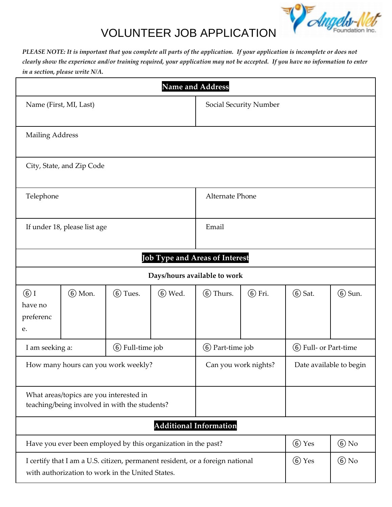

## VOLUNTEER JOB APPLICATION

*PLEASE NOTE: It is important that you complete all parts of the application. If your application is incomplete or does not clearly show the experience and/or training required, your application may not be accepted. If you have no information to enter in a section, please write N/A.* 

| Name and Address                                                                                                                  |                           |                   |                        |                                                    |                         |        |                   |
|-----------------------------------------------------------------------------------------------------------------------------------|---------------------------|-------------------|------------------------|----------------------------------------------------|-------------------------|--------|-------------------|
| Name (First, MI, Last)                                                                                                            |                           |                   | Social Security Number |                                                    |                         |        |                   |
| <b>Mailing Address</b>                                                                                                            |                           |                   |                        |                                                    |                         |        |                   |
|                                                                                                                                   | City, State, and Zip Code |                   |                        |                                                    |                         |        |                   |
| Telephone                                                                                                                         |                           |                   |                        | Alternate Phone                                    |                         |        |                   |
| If under 18, please list age                                                                                                      |                           |                   | Email                  |                                                    |                         |        |                   |
|                                                                                                                                   |                           |                   |                        | Job Type and Areas of Interest                     |                         |        |                   |
|                                                                                                                                   |                           |                   |                        | Days/hours available to work                       |                         |        |                   |
| $\circ$ I<br>have no<br>preferenc<br>e.                                                                                           | 6 Mon.                    | 6 Tues.           | 6 Wed.                 | 6 Thurs.                                           | 6 Fri.                  | 6 Sat. | 6 Sun.            |
| I am seeking a:                                                                                                                   |                           | (6) Full-time job |                        | <b>(6)</b> Part-time job<br>(6) Full- or Part-time |                         |        |                   |
| How many hours can you work weekly?                                                                                               |                           |                   |                        | Can you work nights?                               | Date available to begin |        |                   |
| What areas/topics are you interested in<br>teaching/being involved in with the students?                                          |                           |                   |                        |                                                    |                         |        |                   |
| <b>Additional Information</b>                                                                                                     |                           |                   |                        |                                                    |                         |        |                   |
| Have you ever been employed by this organization in the past?                                                                     |                           |                   |                        |                                                    | 6 Yes                   | $6$ No |                   |
| I certify that I am a U.S. citizen, permanent resident, or a foreign national<br>with authorization to work in the United States. |                           |                   |                        |                                                    |                         | 6 Yes  | $\circledcirc$ No |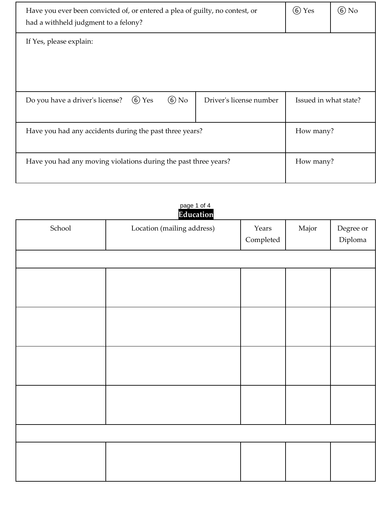| Have you ever been convicted of, or entered a plea of guilty, no contest, or<br>had a withheld judgment to a felony? | $(6)$ Yes | (6) No |                       |  |  |  |  |
|----------------------------------------------------------------------------------------------------------------------|-----------|--------|-----------------------|--|--|--|--|
| If Yes, please explain:                                                                                              |           |        |                       |  |  |  |  |
|                                                                                                                      |           |        |                       |  |  |  |  |
|                                                                                                                      |           |        |                       |  |  |  |  |
| $(6)$ No<br>$\circ$ Yes<br>Do you have a driver's license?<br>Driver's license number                                |           |        | Issued in what state? |  |  |  |  |
|                                                                                                                      |           |        |                       |  |  |  |  |
| Have you had any accidents during the past three years?                                                              | How many? |        |                       |  |  |  |  |
|                                                                                                                      |           |        |                       |  |  |  |  |
| Have you had any moving violations during the past three years?                                                      |           |        | How many?             |  |  |  |  |
|                                                                                                                      |           |        |                       |  |  |  |  |

|        | Education                  |                                                 |       |                      |
|--------|----------------------------|-------------------------------------------------|-------|----------------------|
| School | Location (mailing address) | Years<br>$\label{eq:completed} \text{Complete}$ | Major | Degree or<br>Diploma |
|        |                            |                                                 |       |                      |
|        |                            |                                                 |       |                      |
|        |                            |                                                 |       |                      |
|        |                            |                                                 |       |                      |
|        |                            |                                                 |       |                      |
|        |                            |                                                 |       |                      |
|        |                            |                                                 |       |                      |
|        |                            |                                                 |       |                      |
|        |                            |                                                 |       |                      |
|        |                            |                                                 |       |                      |
|        |                            |                                                 |       |                      |
|        |                            |                                                 |       |                      |

## page 1 of 4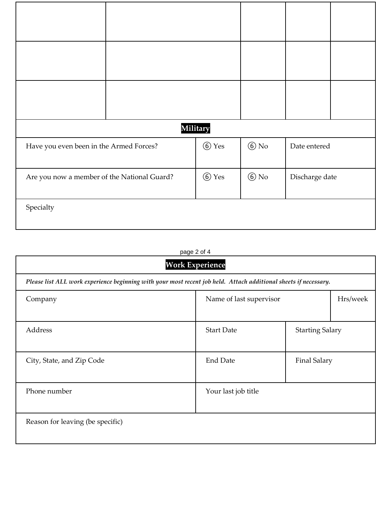|                                             |                    | <b>Military</b> |                |              |  |
|---------------------------------------------|--------------------|-----------------|----------------|--------------|--|
| Have you even been in the Armed Forces?     |                    | <b>6</b> Yes    | $6$ No         | Date entered |  |
| Are you now a member of the National Guard? | $\circledcirc$ Yes | $6$ No          | Discharge date |              |  |
| Specialty                                   |                    |                 |                |              |  |

## page 2 of 4

| <b>Work Experience</b>                                                                                           |                                             |                     |  |  |  |
|------------------------------------------------------------------------------------------------------------------|---------------------------------------------|---------------------|--|--|--|
| Please list ALL work experience beginning with your most recent job held. Attach additional sheets if necessary. |                                             |                     |  |  |  |
| Company                                                                                                          | Hrs/week<br>Name of last supervisor         |                     |  |  |  |
|                                                                                                                  |                                             |                     |  |  |  |
| Address                                                                                                          | <b>Start Date</b><br><b>Starting Salary</b> |                     |  |  |  |
| City, State, and Zip Code                                                                                        | <b>End Date</b>                             | <b>Final Salary</b> |  |  |  |
| Phone number                                                                                                     | Your last job title                         |                     |  |  |  |
| Reason for leaving (be specific)                                                                                 |                                             |                     |  |  |  |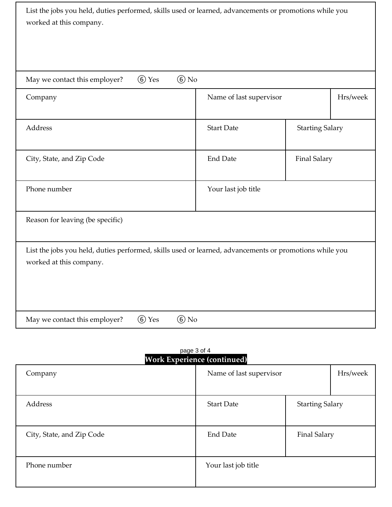| List the jobs you held, duties performed, skills used or learned, advancements or promotions while you<br>worked at this company. |                                    |                        |          |  |
|-----------------------------------------------------------------------------------------------------------------------------------|------------------------------------|------------------------|----------|--|
|                                                                                                                                   |                                    |                        |          |  |
| $\odot$ No<br>6 Yes<br>May we contact this employer?                                                                              |                                    |                        |          |  |
| Company                                                                                                                           | Name of last supervisor            |                        | Hrs/week |  |
| Address                                                                                                                           | <b>Start Date</b>                  | <b>Starting Salary</b> |          |  |
| City, State, and Zip Code                                                                                                         | <b>End Date</b>                    | <b>Final Salary</b>    |          |  |
| Phone number                                                                                                                      | Your last job title                |                        |          |  |
| Reason for leaving (be specific)                                                                                                  |                                    |                        |          |  |
| List the jobs you held, duties performed, skills used or learned, advancements or promotions while you<br>worked at this company. |                                    |                        |          |  |
| 6 Yes<br>$6$ No<br>May we contact this employer?                                                                                  |                                    |                        |          |  |
| page 3 of 4                                                                                                                       | <b>Work Experience (continued)</b> |                        |          |  |

| Company                   | Name of last supervisor |                        | Hrs/week |
|---------------------------|-------------------------|------------------------|----------|
|                           |                         |                        |          |
| Address                   | <b>Start Date</b>       | <b>Starting Salary</b> |          |
|                           |                         |                        |          |
| City, State, and Zip Code | <b>End Date</b>         | <b>Final Salary</b>    |          |
|                           |                         |                        |          |
| Phone number              | Your last job title     |                        |          |
|                           |                         |                        |          |